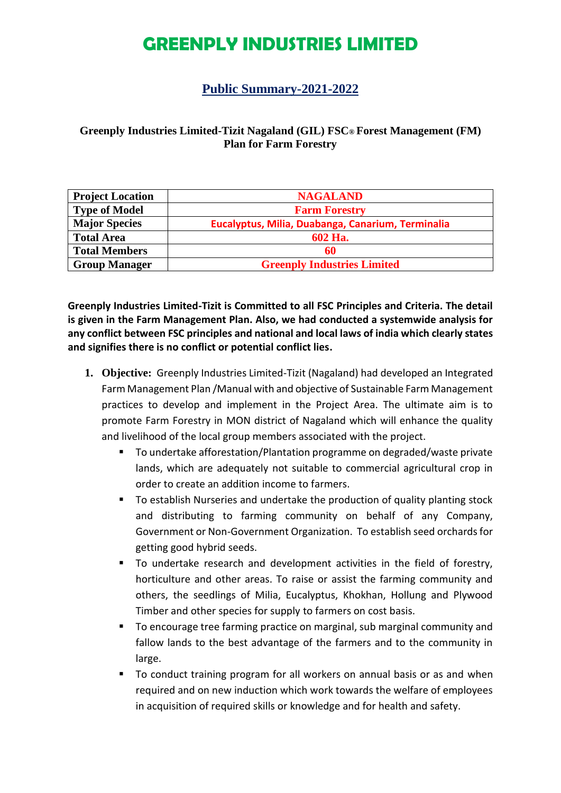#### **Public Summary-2021-2022**

#### **Greenply Industries Limited-Tizit Nagaland (GIL) FSC® Forest Management (FM) Plan for Farm Forestry**

| <b>Project Location</b> | <b>NAGALAND</b>                                   |  |  |
|-------------------------|---------------------------------------------------|--|--|
| <b>Type of Model</b>    | <b>Farm Forestry</b>                              |  |  |
| <b>Major Species</b>    | Eucalyptus, Milia, Duabanga, Canarium, Terminalia |  |  |
| <b>Total Area</b>       | 602 Ha.                                           |  |  |
| <b>Total Members</b>    | 60                                                |  |  |
| <b>Group Manager</b>    | <b>Greenply Industries Limited</b>                |  |  |

**Greenply Industries Limited-Tizit is Committed to all FSC Principles and Criteria. The detail is given in the Farm Management Plan. Also, we had conducted a systemwide analysis for any conflict between FSC principles and national and local laws of india which clearly states and signifies there is no conflict or potential conflict lies.**

- **1. Objective:** Greenply Industries Limited-Tizit (Nagaland) had developed an Integrated Farm Management Plan /Manual with and objective of Sustainable Farm Management practices to develop and implement in the Project Area. The ultimate aim is to promote Farm Forestry in MON district of Nagaland which will enhance the quality and livelihood of the local group members associated with the project.
	- To undertake afforestation/Plantation programme on degraded/waste private lands, which are adequately not suitable to commercial agricultural crop in order to create an addition income to farmers.
	- To establish Nurseries and undertake the production of quality planting stock and distributing to farming community on behalf of any Company, Government or Non-Government Organization. To establish seed orchards for getting good hybrid seeds.
	- To undertake research and development activities in the field of forestry, horticulture and other areas. To raise or assist the farming community and others, the seedlings of Milia, Eucalyptus, Khokhan, Hollung and Plywood Timber and other species for supply to farmers on cost basis.
	- To encourage tree farming practice on marginal, sub marginal community and fallow lands to the best advantage of the farmers and to the community in large.
	- To conduct training program for all workers on annual basis or as and when required and on new induction which work towards the welfare of employees in acquisition of required skills or knowledge and for health and safety.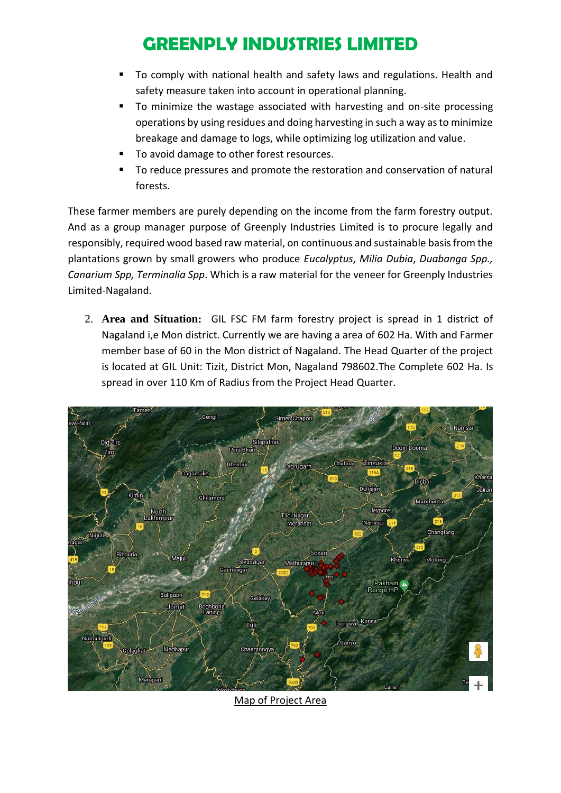- To comply with national health and safety laws and regulations. Health and safety measure taken into account in operational planning.
- To minimize the wastage associated with harvesting and on-site processing operations by using residues and doing harvesting in such a way as to minimize breakage and damage to logs, while optimizing log utilization and value.
- To avoid damage to other forest resources.
- To reduce pressures and promote the restoration and conservation of natural forests.

These farmer members are purely depending on the income from the farm forestry output. And as a group manager purpose of Greenply Industries Limited is to procure legally and responsibly, required wood based raw material, on continuous and sustainable basis from the plantations grown by small growers who produce *Eucalyptus*, *Milia Dubia*, *Duabanga Spp., Canarium Spp, Terminalia Spp*. Which is a raw material for the veneer for Greenply Industries Limited-Nagaland.

2. **Area and Situation:** GIL FSC FM farm forestry project is spread in 1 district of Nagaland i,e Mon district. Currently we are having a area of 602 Ha. With and Farmer member base of 60 in the Mon district of Nagaland. The Head Quarter of the project is located at GIL Unit: Tizit, District Mon, Nagaland 798602.The Complete 602 Ha. Is spread in over 110 Km of Radius from the Project Head Quarter.



Map of Project Area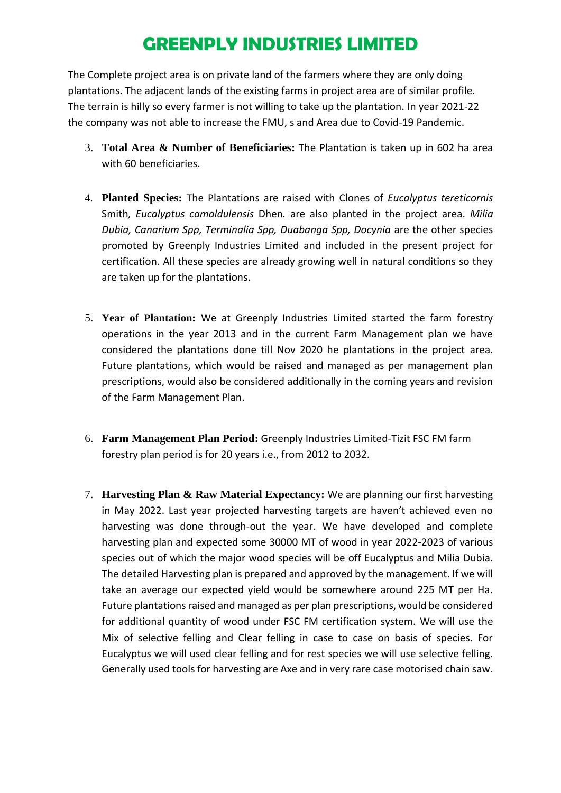The Complete project area is on private land of the farmers where they are only doing plantations. The adjacent lands of the existing farms in project area are of similar profile. The terrain is hilly so every farmer is not willing to take up the plantation. In year 2021-22 the company was not able to increase the FMU, s and Area due to Covid-19 Pandemic.

- 3. **Total Area & Number of Beneficiaries:** The Plantation is taken up in 602 ha area with 60 beneficiaries.
- 4. **Planted Species:** The Plantations are raised with Clones of *Eucalyptus tereticornis*  Smith*, Eucalyptus camaldulensis* Dhen*.* are also planted in the project area. *Milia Dubia, Canarium Spp, Terminalia Spp, Duabanga Spp, Docynia* are the other species promoted by Greenply Industries Limited and included in the present project for certification. All these species are already growing well in natural conditions so they are taken up for the plantations.
- 5. **Year of Plantation:** We at Greenply Industries Limited started the farm forestry operations in the year 2013 and in the current Farm Management plan we have considered the plantations done till Nov 2020 he plantations in the project area. Future plantations, which would be raised and managed as per management plan prescriptions, would also be considered additionally in the coming years and revision of the Farm Management Plan.
- 6. **Farm Management Plan Period:** Greenply Industries Limited-Tizit FSC FM farm forestry plan period is for 20 years i.e., from 2012 to 2032.
- 7. **Harvesting Plan & Raw Material Expectancy:** We are planning our first harvesting in May 2022. Last year projected harvesting targets are haven't achieved even no harvesting was done through-out the year. We have developed and complete harvesting plan and expected some 30000 MT of wood in year 2022-2023 of various species out of which the major wood species will be off Eucalyptus and Milia Dubia. The detailed Harvesting plan is prepared and approved by the management. If we will take an average our expected yield would be somewhere around 225 MT per Ha. Future plantations raised and managed as per plan prescriptions, would be considered for additional quantity of wood under FSC FM certification system. We will use the Mix of selective felling and Clear felling in case to case on basis of species. For Eucalyptus we will used clear felling and for rest species we will use selective felling. Generally used tools for harvesting are Axe and in very rare case motorised chain saw.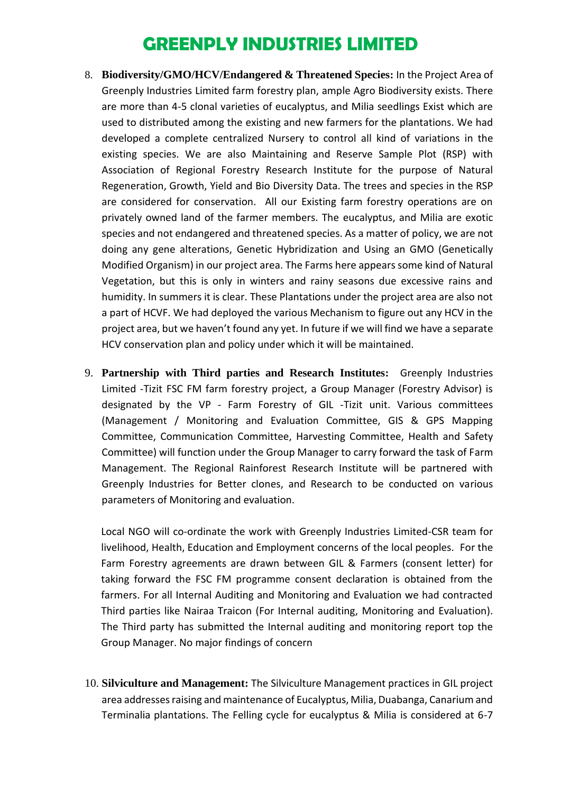- 8. **Biodiversity/GMO/HCV/Endangered & Threatened Species:** In the Project Area of Greenply Industries Limited farm forestry plan, ample Agro Biodiversity exists. There are more than 4-5 clonal varieties of eucalyptus, and Milia seedlings Exist which are used to distributed among the existing and new farmers for the plantations. We had developed a complete centralized Nursery to control all kind of variations in the existing species. We are also Maintaining and Reserve Sample Plot (RSP) with Association of Regional Forestry Research Institute for the purpose of Natural Regeneration, Growth, Yield and Bio Diversity Data. The trees and species in the RSP are considered for conservation. All our Existing farm forestry operations are on privately owned land of the farmer members. The eucalyptus, and Milia are exotic species and not endangered and threatened species. As a matter of policy, we are not doing any gene alterations, Genetic Hybridization and Using an GMO (Genetically Modified Organism) in our project area. The Farms here appears some kind of Natural Vegetation, but this is only in winters and rainy seasons due excessive rains and humidity. In summers it is clear. These Plantations under the project area are also not a part of HCVF. We had deployed the various Mechanism to figure out any HCV in the project area, but we haven't found any yet. In future if we will find we have a separate HCV conservation plan and policy under which it will be maintained.
- 9. **Partnership with Third parties and Research Institutes:** Greenply Industries Limited -Tizit FSC FM farm forestry project, a Group Manager (Forestry Advisor) is designated by the VP - Farm Forestry of GIL -Tizit unit. Various committees (Management / Monitoring and Evaluation Committee, GIS & GPS Mapping Committee, Communication Committee, Harvesting Committee, Health and Safety Committee) will function under the Group Manager to carry forward the task of Farm Management. The Regional Rainforest Research Institute will be partnered with Greenply Industries for Better clones, and Research to be conducted on various parameters of Monitoring and evaluation.

Local NGO will co-ordinate the work with Greenply Industries Limited-CSR team for livelihood, Health, Education and Employment concerns of the local peoples. For the Farm Forestry agreements are drawn between GIL & Farmers (consent letter) for taking forward the FSC FM programme consent declaration is obtained from the farmers. For all Internal Auditing and Monitoring and Evaluation we had contracted Third parties like Nairaa Traicon (For Internal auditing, Monitoring and Evaluation). The Third party has submitted the Internal auditing and monitoring report top the Group Manager. No major findings of concern

10. **Silviculture and Management:** The Silviculture Management practices in GIL project area addresses raising and maintenance of Eucalyptus, Milia, Duabanga, Canarium and Terminalia plantations. The Felling cycle for eucalyptus & Milia is considered at 6-7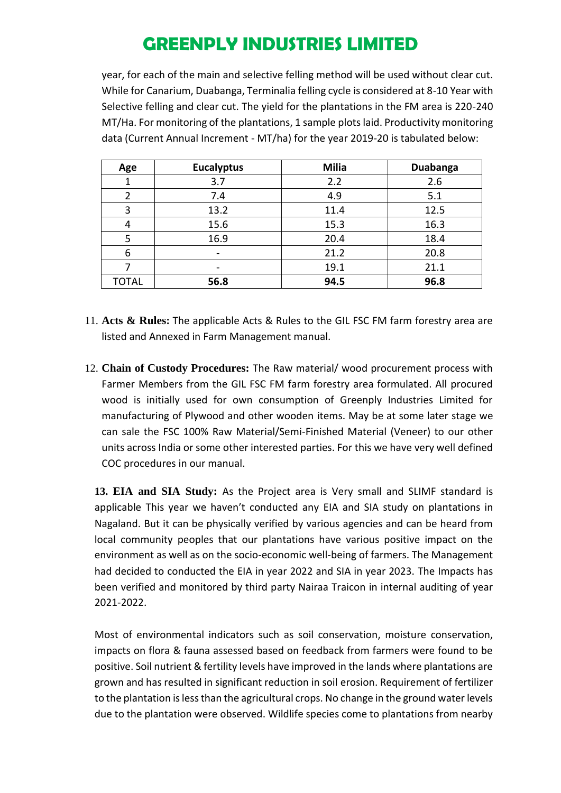year, for each of the main and selective felling method will be used without clear cut. While for Canarium, Duabanga, Terminalia felling cycle is considered at 8-10 Year with Selective felling and clear cut. The yield for the plantations in the FM area is 220-240 MT/Ha. For monitoring of the plantations, 1 sample plots laid. Productivity monitoring data (Current Annual Increment - MT/ha) for the year 2019-20 is tabulated below:

| Age          | <b>Eucalyptus</b> | Milia | Duabanga |
|--------------|-------------------|-------|----------|
|              | 3.7               | 2.2   | 2.6      |
| າ            | 7.4               | 4.9   | 5.1      |
| 3            | 13.2              | 11.4  | 12.5     |
|              | 15.6              | 15.3  | 16.3     |
|              | 16.9              | 20.4  | 18.4     |
| 6            |                   | 21.2  | 20.8     |
|              |                   | 19.1  | 21.1     |
| <b>TOTAL</b> | 56.8              | 94.5  | 96.8     |

- 11. **Acts & Rules:** The applicable Acts & Rules to the GIL FSC FM farm forestry area are listed and Annexed in Farm Management manual.
- 12. **Chain of Custody Procedures:** The Raw material/ wood procurement process with Farmer Members from the GIL FSC FM farm forestry area formulated. All procured wood is initially used for own consumption of Greenply Industries Limited for manufacturing of Plywood and other wooden items. May be at some later stage we can sale the FSC 100% Raw Material/Semi-Finished Material (Veneer) to our other units across India or some other interested parties. For this we have very well defined COC procedures in our manual.

**13. EIA and SIA Study:** As the Project area is Very small and SLIMF standard is applicable This year we haven't conducted any EIA and SIA study on plantations in Nagaland. But it can be physically verified by various agencies and can be heard from local community peoples that our plantations have various positive impact on the environment as well as on the socio-economic well-being of farmers. The Management had decided to conducted the EIA in year 2022 and SIA in year 2023. The Impacts has been verified and monitored by third party Nairaa Traicon in internal auditing of year 2021-2022.

Most of environmental indicators such as soil conservation, moisture conservation, impacts on flora & fauna assessed based on feedback from farmers were found to be positive. Soil nutrient & fertility levels have improved in the lands where plantations are grown and has resulted in significant reduction in soil erosion. Requirement of fertilizer to the plantation is less than the agricultural crops. No change in the ground water levels due to the plantation were observed. Wildlife species come to plantations from nearby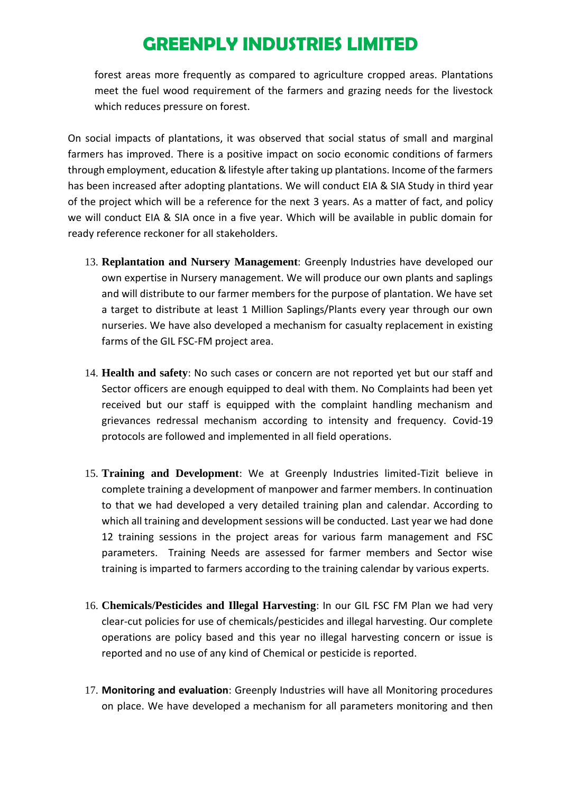forest areas more frequently as compared to agriculture cropped areas. Plantations meet the fuel wood requirement of the farmers and grazing needs for the livestock which reduces pressure on forest.

On social impacts of plantations, it was observed that social status of small and marginal farmers has improved. There is a positive impact on socio economic conditions of farmers through employment, education & lifestyle after taking up plantations. Income of the farmers has been increased after adopting plantations. We will conduct EIA & SIA Study in third year of the project which will be a reference for the next 3 years. As a matter of fact, and policy we will conduct EIA & SIA once in a five year. Which will be available in public domain for ready reference reckoner for all stakeholders.

- 13. **Replantation and Nursery Management**: Greenply Industries have developed our own expertise in Nursery management. We will produce our own plants and saplings and will distribute to our farmer members for the purpose of plantation. We have set a target to distribute at least 1 Million Saplings/Plants every year through our own nurseries. We have also developed a mechanism for casualty replacement in existing farms of the GIL FSC-FM project area.
- 14. **Health and safety**: No such cases or concern are not reported yet but our staff and Sector officers are enough equipped to deal with them. No Complaints had been yet received but our staff is equipped with the complaint handling mechanism and grievances redressal mechanism according to intensity and frequency. Covid-19 protocols are followed and implemented in all field operations.
- 15. **Training and Development**: We at Greenply Industries limited-Tizit believe in complete training a development of manpower and farmer members. In continuation to that we had developed a very detailed training plan and calendar. According to which all training and development sessions will be conducted. Last year we had done 12 training sessions in the project areas for various farm management and FSC parameters. Training Needs are assessed for farmer members and Sector wise training is imparted to farmers according to the training calendar by various experts.
- 16. **Chemicals/Pesticides and Illegal Harvesting**: In our GIL FSC FM Plan we had very clear-cut policies for use of chemicals/pesticides and illegal harvesting. Our complete operations are policy based and this year no illegal harvesting concern or issue is reported and no use of any kind of Chemical or pesticide is reported.
- 17. **Monitoring and evaluation**: Greenply Industries will have all Monitoring procedures on place. We have developed a mechanism for all parameters monitoring and then